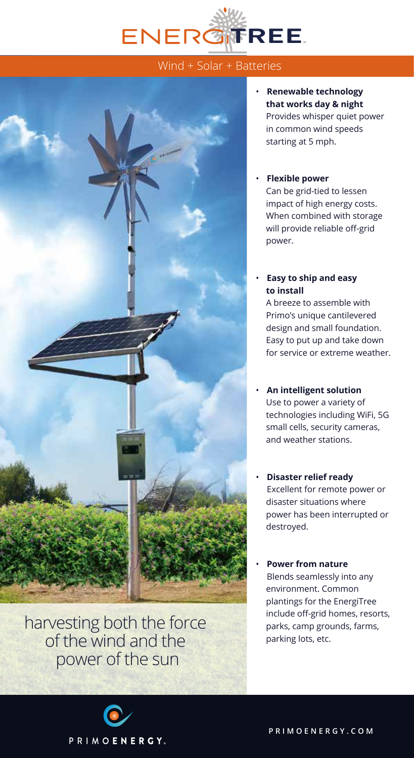

## Wind + Solar + Batteries



harvesting both the force of the wind and the power of the sun

• **Renewable technology that works day & night** Provides whisper quiet power in common wind speeds starting at 5 mph.

## • **Flexible power**

Can be grid-tied to lessen impact of high energy costs. When combined with storage will provide reliable off-grid power.

## • **Easy to ship and easy to install**

A breeze to assemble with Primo's unique cantilevered design and small foundation. Easy to put up and take down for service or extreme weather.

- **An intelligent solution** Use to power a variety of technologies including WiFi, 5G small cells, security cameras, and weather stations.
- **Disaster relief ready** Excellent for remote power or disaster situations where power has been interrupted or destroyed.
- **Power from nature** Blends seamlessly into any environment. Common plantings for the EnergiTree include off-grid homes, resorts, parks, camp grounds, farms, parking lots, etc.